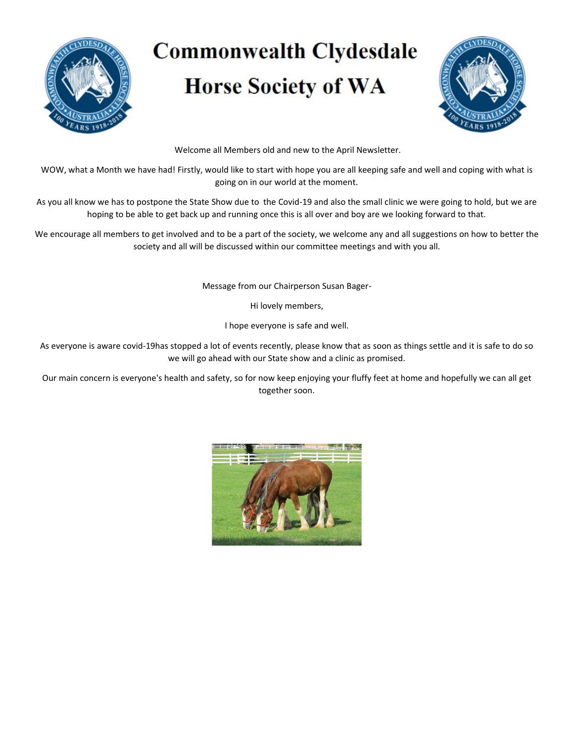

# **Commonwealth Clydesdale Horse Society of WA**



Welcome all Members old and new to the April Newsletter.

WOW, what a Month we have had! Firstly, would like to start with hope you are all keeping safe and well and coping with what is going on in our world at the moment.

As you all know we has to postpone the State Show due to the Covid-19 and also the small clinic we were going to hold, but we are hoping to be able to get back up and running once this is all over and boy are we looking forward to that.

We encourage all members to get involved and to be a part of the society, we welcome any and all suggestions on how to better the society and all will be discussed within our committee meetings and with you all.

Message from our Chairperson Susan Bager-

Hi lovely members,

I hope everyone is safe and well.

As everyone is aware covid-19has stopped a lot of events recently, please know that as soon as things settle and it is safe to do so we will go ahead with our State show and a clinic as promised.

Our main concern is everyone's health and safety, so for now keep enjoying your fluffy feet at home and hopefully we can all get together soon.

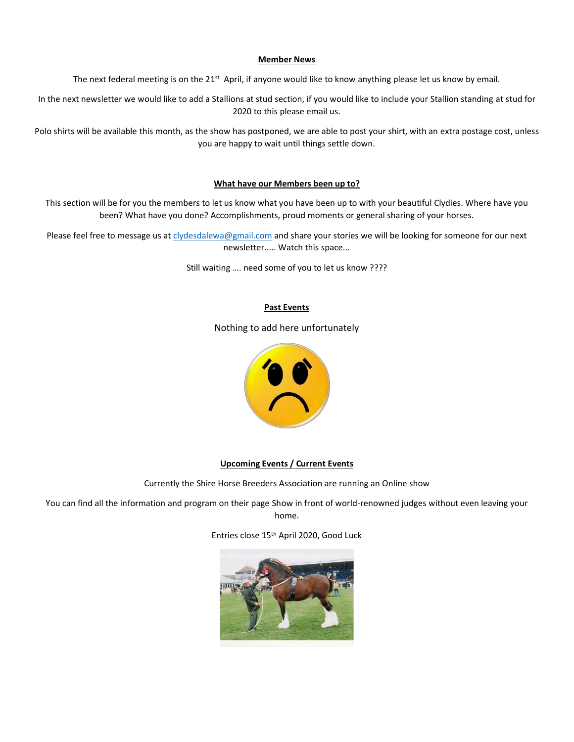#### **Member News**

The next federal meeting is on the 21<sup>st</sup> April, if anyone would like to know anything please let us know by email.

In the next newsletter we would like to add a Stallions at stud section, if you would like to include your Stallion standing at stud for 2020 to this please email us.

Polo shirts will be available this month, as the show has postponed, we are able to post your shirt, with an extra postage cost, unless you are happy to wait until things settle down.

## **What have our Members been up to?**

This section will be for you the members to let us know what you have been up to with your beautiful Clydies. Where have you been? What have you done? Accomplishments, proud moments or general sharing of your horses.

Please feel free to message us a[t clydesdalewa@gmail.com](mailto:clydesdalewa@gmail.com) and share your stories we will be looking for someone for our next newsletter..... Watch this space...

Still waiting …. need some of you to let us know ????

# **Past Events**

Nothing to add here unfortunately



# **Upcoming Events / Current Events**

Currently the Shire Horse Breeders Association are running an Online show

You can find all the information and program on their page Show in front of world-renowned judges without even leaving your home.

Entries close 15th April 2020, Good Luck